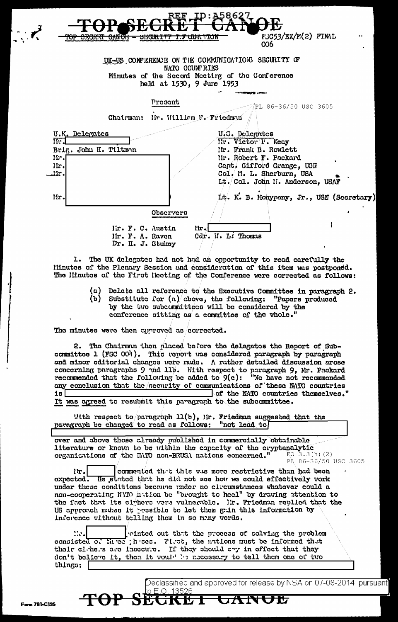| 7<br><del>iop skchei</del> | REF<br><del>SEQUELTY I.P QUA TION</del><br><u>UMO11 – </u> | A58627<br>$FJG53/EX/K(2)$ FINAL<br>006                                                                                                     |
|----------------------------|------------------------------------------------------------|--------------------------------------------------------------------------------------------------------------------------------------------|
|                            | NATO COUNTRIES<br>held at 1530, 9 June 1953                | UK-US CONFERENCE ON THE COMMUNICATIONS SECURITY OF<br>Minutes of the Secord Moeting of the Conference                                      |
|                            | Present                                                    | PL 86-36/50 USC 3605                                                                                                                       |
|                            | Chairman: Nr. William F. Friedman                          |                                                                                                                                            |
| U.K. Delegates<br>II.      |                                                            | U.S. Delegates<br>Mr. Victor P. Keay                                                                                                       |
| lb.<br>lir.<br>.ir.        | Brig. John H. Tiltman                                      | Iir. Frank B. Rowlett<br>Nr. Robert F. Packard<br>Capt. Gifford Grange, USN<br>Col. I. L. Sherburn, USA<br>Lt. Col. John M. Anderson, USAF |
| lir.                       |                                                            | Lt. K. B. Monypeny, Jr., USN (Secretary)                                                                                                   |
|                            | Observers                                                  |                                                                                                                                            |
|                            | Kr. F. C. Austin<br>Mr. F. A. Raven<br>Dr. II. J. Stukey   | lir.<br>Cdr. W. L: Thomas                                                                                                                  |

1. The UK delegates had not had an opportunity to read carefully the Hinutes of the Plenary Session and consideration of this item was postponed. The Hinutes of the First Heeting of the Conference were corrected as follows:

- $(a)$ Delete all reference to the Executive Committee in paragraph 2. Substitute for  $\left(\frac{n}{2}\right)$  above, the following: "Papers produced (ъ)
	- by the two subcommittees will be considered by the conference sitting as a committee of the whole.

The minutes were then epproved as corrected.

2. The Chairman then placed before the delegates the Report of Subcommittee 1 (FSC 004). This report was considered paragraph by paragraph and minor editorial changes were made. A rather detailed discussion arose concerning paragraphs  $9$  and  $115$ . With respect to paragraph  $9$ , Mr. Packard recommended that the following be added to  $9(c)$ : "We have not recommended any conclusion that the necurity of communications of these NATO countries of the NATO countries themselves." is I It was agreed to resubmit this paragraph to the subcommittee.

With respect to paragraph  $11(b)$ , Mr. Friedman suggested that the "not lead to paragraph be changed to read as follows:

over and above those already published in commercially obtainable literature or known to be within the capacity of the cryptanalytic EO  $3.3(h)$  (2) organizations of the HATO non-BRUSA nations concerned."

PL 86-36/50 USC 3605

commented that this was more restrictive than had been  $\ln l$ expected. He stated that he did not see how we could effectively work under these conditions because under no clicumstances whatever could a non-cooperating NMD in tion be "brought to heel" by drawing attention to the fact that its climbers were vulnerable. In. Friedman replied that the US approach mukes it possible to let them gain this information by inference without telling them in so many words.

 $\mathcal{L}$ rinted out that the process of solving the problem consisted of three threes. First, the nations must be informed that their cirkers are insecute. If they should eny in effect that they don't believe it, then it would be necessary to tell them one of two things:

o E.O. 13526

**SEGKET** 

Declassified and approved for release by NSA on 07-08-2014 pursuant

**JA** 

TOP